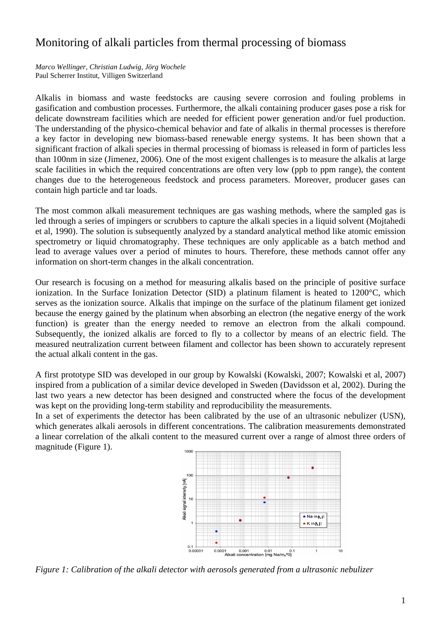## Monitoring of alkali particles from thermal processing of biomass

*Marco Wellinger, Christian Ludwig, Jörg Wochele*  Paul Scherrer Institut, Villigen Switzerland

Alkalis in biomass and waste feedstocks are causing severe corrosion and fouling problems in gasification and combustion processes. Furthermore, the alkali containing producer gases pose a risk for delicate downstream facilities which are needed for efficient power generation and/or fuel production. The understanding of the physico-chemical behavior and fate of alkalis in thermal processes is therefore a key factor in developing new biomass-based renewable energy systems. It has been shown that a significant fraction of alkali species in thermal processing of biomass is released in form of particles less than 100nm in size (Jimenez, 2006). One of the most exigent challenges is to measure the alkalis at large scale facilities in which the required concentrations are often very low (ppb to ppm range), the content changes due to the heterogeneous feedstock and process parameters. Moreover, producer gases can contain high particle and tar loads.

The most common alkali measurement techniques are gas washing methods, where the sampled gas is led through a series of impingers or scrubbers to capture the alkali species in a liquid solvent (Mojtahedi et al, 1990). The solution is subsequently analyzed by a standard analytical method like atomic emission spectrometry or liquid chromatography. These techniques are only applicable as a batch method and lead to average values over a period of minutes to hours. Therefore, these methods cannot offer any information on short-term changes in the alkali concentration.

Our research is focusing on a method for measuring alkalis based on the principle of positive surface ionization. In the Surface Ionization Detector (SID) a platinum filament is heated to 1200°C, which serves as the ionization source. Alkalis that impinge on the surface of the platinum filament get ionized because the energy gained by the platinum when absorbing an electron (the negative energy of the work function) is greater than the energy needed to remove an electron from the alkali compound. Subsequently, the ionized alkalis are forced to fly to a collector by means of an electric field. The measured neutralization current between filament and collector has been shown to accurately represent the actual alkali content in the gas.

A first prototype SID was developed in our group by Kowalski (Kowalski, 2007; Kowalski et al, 2007) inspired from a publication of a similar device developed in Sweden (Davidsson et al, 2002). During the last two years a new detector has been designed and constructed where the focus of the development was kept on the providing long-term stability and reproducibility the measurements.

In a set of experiments the detector has been calibrated by the use of an ultrasonic nebulizer (USN), which generates alkali aerosols in different concentrations. The calibration measurements demonstrated a linear correlation of the alkali content to the measured current over a range of almost three orders of magnitude (Figure 1). 1000



*Figure 1: Calibration of the alkali detector with aerosols generated from a ultrasonic nebulizer*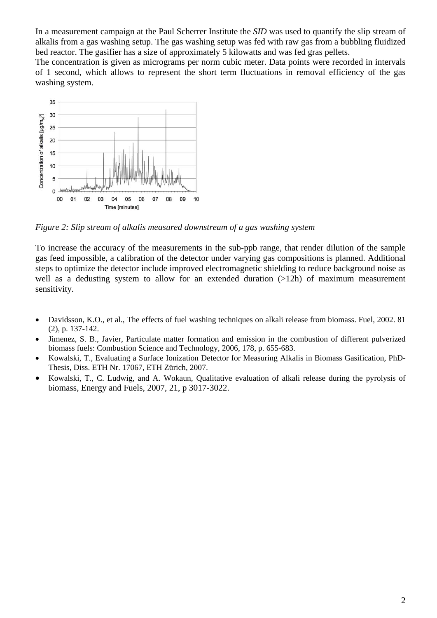In a measurement campaign at the Paul Scherrer Institute the *SID* was used to quantify the slip stream of alkalis from a gas washing setup. The gas washing setup was fed with raw gas from a bubbling fluidized bed reactor. The gasifier has a size of approximately 5 kilowatts and was fed gras pellets.

The concentration is given as micrograms per norm cubic meter. Data points were recorded in intervals of 1 second, which allows to represent the short term fluctuations in removal efficiency of the gas washing system.



*Figure 2: Slip stream of alkalis measured downstream of a gas washing system* 

To increase the accuracy of the measurements in the sub-ppb range, that render dilution of the sample gas feed impossible, a calibration of the detector under varying gas compositions is planned. Additional steps to optimize the detector include improved electromagnetic shielding to reduce background noise as well as a dedusting system to allow for an extended duration (>12h) of maximum measurement sensitivity.

- Davidsson, K.O., et al., The effects of fuel washing techniques on alkali release from biomass. Fuel, 2002. 81 (2), p. 137-142.
- Jimenez, S. B., Javier, Particulate matter formation and emission in the combustion of different pulverized biomass fuels: Combustion Science and Technology, 2006, 178, p. 655-683.
- Kowalski, T., Evaluating a Surface Ionization Detector for Measuring Alkalis in Biomass Gasification, PhD-Thesis, Diss. ETH Nr. 17067, ETH Zürich, 2007.
- Kowalski, T., C. Ludwig, and A. Wokaun, Qualitative evaluation of alkali release during the pyrolysis of biomass, Energy and Fuels, 2007, 21, p 3017-3022.